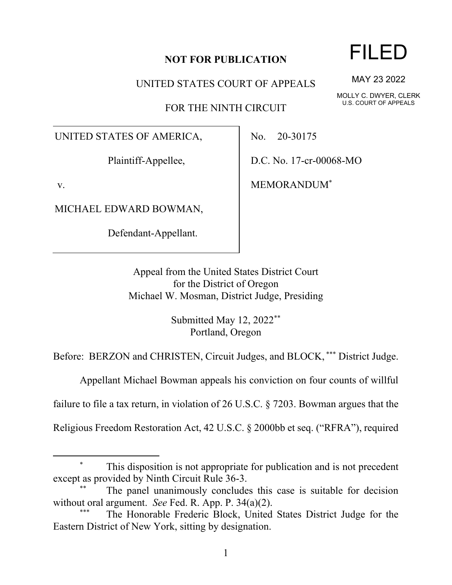## **NOT FOR PUBLICATION**

UNITED STATES COURT OF APPEALS

FOR THE NINTH CIRCUIT

UNITED STATES OF AMERICA,

Plaintiff-Appellee,

v.

MICHAEL EDWARD BOWMAN,

Defendant-Appellant.

No. 20-30175

D.C. No. 17-cr-00068-MO

MEMORANDUM\*

Appeal from the United States District Court for the District of Oregon Michael W. Mosman, District Judge, Presiding

> Submitted May 12, 2022\*\* Portland, Oregon

Before: BERZON and CHRISTEN, Circuit Judges, and BLOCK, \*\*\* District Judge.

Appellant Michael Bowman appeals his conviction on four counts of willful

failure to file a tax return, in violation of 26 U.S.C. § 7203. Bowman argues that the

Religious Freedom Restoration Act, 42 U.S.C. § 2000bb et seq. ("RFRA"), required

FILED

MAY 23 2022

MOLLY C. DWYER, CLERK U.S. COURT OF APPEALS

This disposition is not appropriate for publication and is not precedent except as provided by Ninth Circuit Rule 36-3.

The panel unanimously concludes this case is suitable for decision without oral argument. *See* Fed. R. App. P. 34(a)(2).

The Honorable Frederic Block, United States District Judge for the Eastern District of New York, sitting by designation.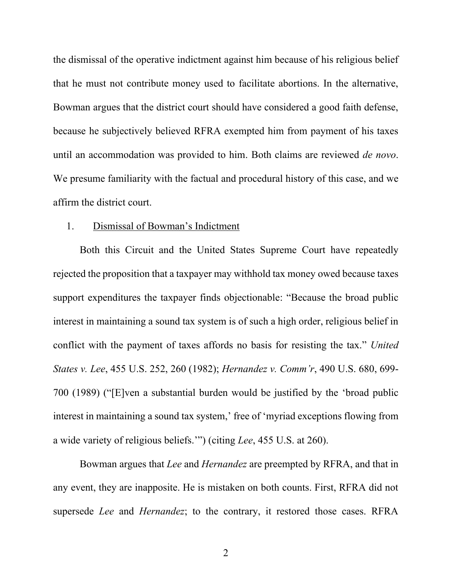the dismissal of the operative indictment against him because of his religious belief that he must not contribute money used to facilitate abortions. In the alternative, Bowman argues that the district court should have considered a good faith defense, because he subjectively believed RFRA exempted him from payment of his taxes until an accommodation was provided to him. Both claims are reviewed *de novo*. We presume familiarity with the factual and procedural history of this case, and we affirm the district court.

## 1. Dismissal of Bowman's Indictment

Both this Circuit and the United States Supreme Court have repeatedly rejected the proposition that a taxpayer may withhold tax money owed because taxes support expenditures the taxpayer finds objectionable: "Because the broad public interest in maintaining a sound tax system is of such a high order, religious belief in conflict with the payment of taxes affords no basis for resisting the tax." *United States v. Lee*, 455 U.S. 252, 260 (1982); *Hernandez v. Comm'r*, 490 U.S. 680, 699- 700 (1989) ("[E]ven a substantial burden would be justified by the 'broad public interest in maintaining a sound tax system,' free of 'myriad exceptions flowing from a wide variety of religious beliefs.'") (citing *Lee*, 455 U.S. at 260).

Bowman argues that *Lee* and *Hernandez* are preempted by RFRA, and that in any event, they are inapposite. He is mistaken on both counts. First, RFRA did not supersede *Lee* and *Hernandez*; to the contrary, it restored those cases. RFRA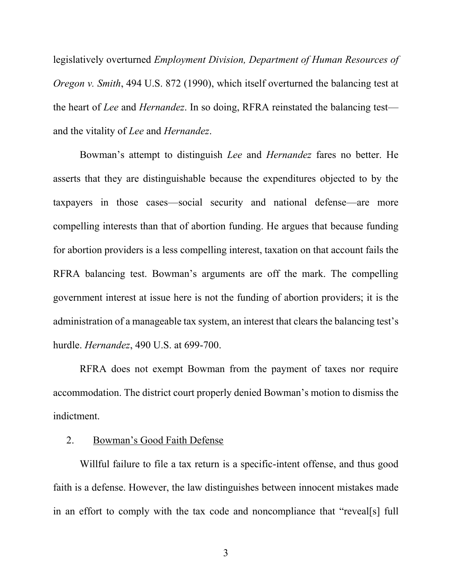legislatively overturned *Employment Division, Department of Human Resources of Oregon v. Smith*, 494 U.S. 872 (1990), which itself overturned the balancing test at the heart of *Lee* and *Hernandez*. In so doing, RFRA reinstated the balancing test and the vitality of *Lee* and *Hernandez*.

Bowman's attempt to distinguish *Lee* and *Hernandez* fares no better. He asserts that they are distinguishable because the expenditures objected to by the taxpayers in those cases—social security and national defense—are more compelling interests than that of abortion funding. He argues that because funding for abortion providers is a less compelling interest, taxation on that account fails the RFRA balancing test. Bowman's arguments are off the mark. The compelling government interest at issue here is not the funding of abortion providers; it is the administration of a manageable tax system, an interest that clears the balancing test's hurdle. *Hernandez*, 490 U.S. at 699-700.

RFRA does not exempt Bowman from the payment of taxes nor require accommodation. The district court properly denied Bowman's motion to dismiss the indictment.

## 2. Bowman's Good Faith Defense

Willful failure to file a tax return is a specific-intent offense, and thus good faith is a defense. However, the law distinguishes between innocent mistakes made in an effort to comply with the tax code and noncompliance that "reveal[s] full

3